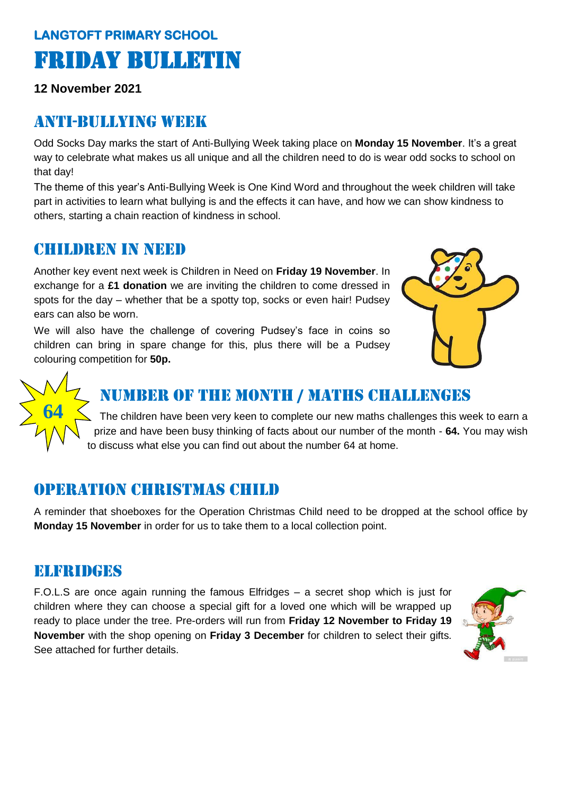# **LANGTOFT PRIMARY SCHOOL**  Friday Bulletin

**12 November 2021**

## Anti-bullying week

Odd Socks Day marks the start of Anti-Bullying Week taking place on **Monday 15 November**. It's a great way to celebrate what makes us all unique and all the children need to do is wear odd socks to school on that day!

The theme of this year's Anti-Bullying Week is One Kind Word and throughout the week children will take part in activities to learn what bullying is and the effects it can have, and how we can show kindness to others, starting a chain reaction of kindness in school.

## Children in need

Another key event next week is Children in Need on **Friday 19 November**. In exchange for a **£1 donation** we are inviting the children to come dressed in spots for the day – whether that be a spotty top, socks or even hair! Pudsey ears can also be worn.

We will also have the challenge of covering Pudsey's face in coins so children can bring in spare change for this, plus there will be a Pudsey colouring competition for **50p.** 



# **64**

## Number of the month / Maths challenges

The children have been very keen to complete our new maths challenges this week to earn a prize and have been busy thinking of facts about our number of the month - **64.** You may wish to discuss what else you can find out about the number 64 at home.

# Operation Christmas child

A reminder that shoeboxes for the Operation Christmas Child need to be dropped at the school office by **Monday 15 November** in order for us to take them to a local collection point.

## Elfridges

F.O.L.S are once again running the famous Elfridges – a secret shop which is just for children where they can choose a special gift for a loved one which will be wrapped up ready to place under the tree. Pre-orders will run from **Friday 12 November to Friday 19 November** with the shop opening on **Friday 3 December** for children to select their gifts. See attached for further details.

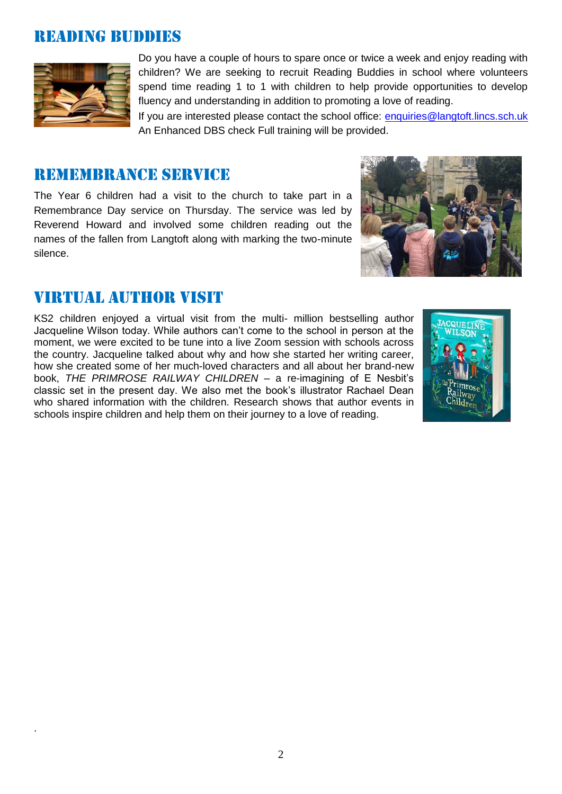## Reading buddies



.

Do you have a couple of hours to spare once or twice a week and enjoy reading with children? We are seeking to recruit Reading Buddies in school where volunteers spend time reading 1 to 1 with children to help provide opportunities to develop fluency and understanding in addition to promoting a love of reading.

If you are interested please contact the school office: [enquiries@langtoft.lincs.sch.uk](mailto:enquiries@langtoft.lincs.sch.uk) An Enhanced DBS check Full training will be provided.

#### Remembrance service

The Year 6 children had a visit to the church to take part in a Remembrance Day service on Thursday. The service was led by Reverend Howard and involved some children reading out the names of the fallen from Langtoft along with marking the two-minute silence.



## Virtual author visit

KS2 children enjoyed a virtual visit from the multi- million bestselling author Jacqueline Wilson today. While authors can't come to the school in person at the moment, we were excited to be tune into a live Zoom session with schools across the country. Jacqueline talked about why and how she started her writing career, how she created some of her much-loved characters and all about her brand-new book, *THE PRIMROSE RAILWAY CHILDREN* – a re-imagining of E Nesbit's classic set in the present day. We also met the book's illustrator Rachael Dean who shared information with the children. Research shows that author events in schools inspire children and help them on their journey to a love of reading.

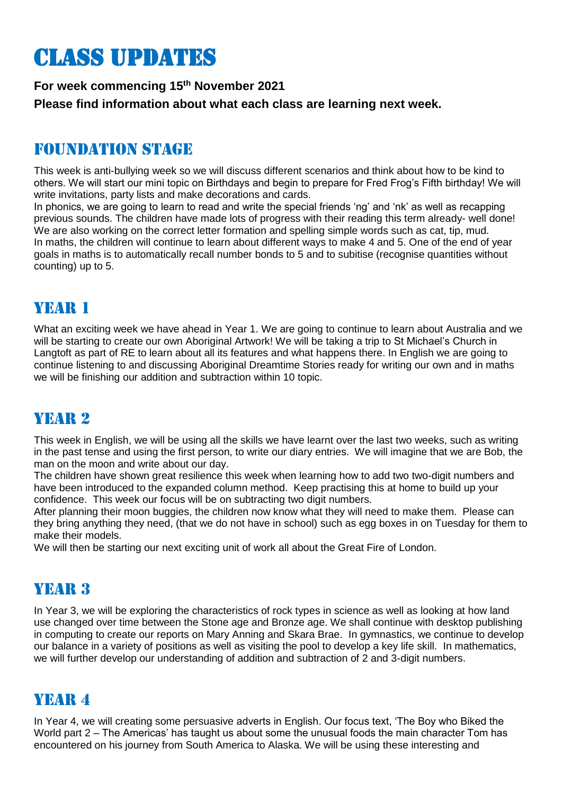# Class updates

## **For week commencing 15th November 2021 Please find information about what each class are learning next week.**

# Foundation stage

This week is anti-bullying week so we will discuss different scenarios and think about how to be kind to others. We will start our mini topic on Birthdays and begin to prepare for Fred Frog's Fifth birthday! We will write invitations, party lists and make decorations and cards.

In phonics, we are going to learn to read and write the special friends 'ng' and 'nk' as well as recapping previous sounds. The children have made lots of progress with their reading this term already- well done! We are also working on the correct letter formation and spelling simple words such as cat, tip, mud. In maths, the children will continue to learn about different ways to make 4 and 5. One of the end of year goals in maths is to automatically recall number bonds to 5 and to subitise (recognise quantities without counting) up to 5.

## Year 1

What an exciting week we have ahead in Year 1. We are going to continue to learn about Australia and we will be starting to create our own Aboriginal Artwork! We will be taking a trip to St Michael's Church in Langtoft as part of RE to learn about all its features and what happens there. In English we are going to continue listening to and discussing Aboriginal Dreamtime Stories ready for writing our own and in maths we will be finishing our addition and subtraction within 10 topic.

# YEAR 2

This week in English, we will be using all the skills we have learnt over the last two weeks, such as writing in the past tense and using the first person, to write our diary entries. We will imagine that we are Bob, the man on the moon and write about our day.

The children have shown great resilience this week when learning how to add two two-digit numbers and have been introduced to the expanded column method. Keep practising this at home to build up your confidence. This week our focus will be on subtracting two digit numbers.

After planning their moon buggies, the children now know what they will need to make them. Please can they bring anything they need, (that we do not have in school) such as egg boxes in on Tuesday for them to make their models.

We will then be starting our next exciting unit of work all about the Great Fire of London.

# YEAR 3

In Year 3, we will be exploring the characteristics of rock types in science as well as looking at how land use changed over time between the Stone age and Bronze age. We shall continue with desktop publishing in computing to create our reports on Mary Anning and Skara Brae. In gymnastics, we continue to develop our balance in a variety of positions as well as visiting the pool to develop a key life skill. In mathematics, we will further develop our understanding of addition and subtraction of 2 and 3-digit numbers.

## YEAR 4

In Year 4, we will creating some persuasive adverts in English. Our focus text, 'The Boy who Biked the World part 2 – The Americas' has taught us about some the unusual foods the main character Tom has encountered on his journey from South America to Alaska. We will be using these interesting and